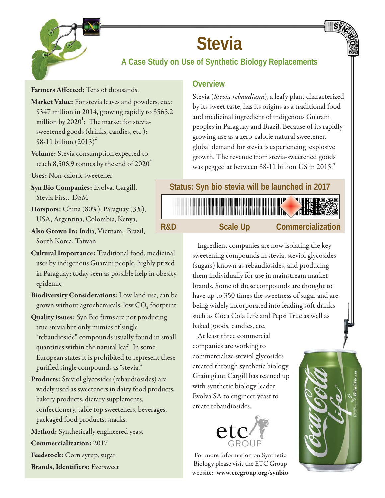

# **Stevia**

# **A Case Study on Use of Synthetic Biology Replacements**

**Farmers Affected:** Tens of thousands.

**Market Value:** For stevia leaves and powders, etc.: \$347 million in 2014, growing rapidly to \$565.2 million by 2020**<sup>1</sup>** ; The market for steviasweetened goods (drinks, candies, etc.): \$8-11 billion (2015)**<sup>2</sup>**

**Volume:** Stevia consumption expected to reach 8,506.9 tonnes by the end of 2020**<sup>3</sup>**

**Uses:** Non-caloric sweetener

**Syn Bio Companies:** Evolva, Cargill, Stevia First, DSM

**Hotspots:** China (80%), Paraguay (3%), USA, Argentina, Colombia, Kenya,

**Also Grown In:** India, Vietnam, Brazil, South Korea, Taiwan

**Cultural Importance:** Traditional food, medicinal uses by indigenous Guarani people, highly prized in Paraguay; today seen as possible help in obesity epidemic

**Biodiversity Considerations:** Low land use, can be grown without agrochemicals, low  $CO<sub>2</sub>$  footprint

**Quality issues:** Syn Bio firms are not producing true stevia but only mimics of single "rebaudioside" compounds usually found in small quantities within the natural leaf. In some European states it is prohibited to represent these purified single compounds as "stevia."

**Products:** Steviol glycosides (rebaudiosides) are widely used as sweeteners in dairy food products, bakery products, dietary supplements, confectionery, table top sweeteners, beverages, packaged food products, snacks.

**Method:** Synthetically engineered yeast

**Commercialization:** 2017

**Feedstock:** Corn syrup, sugar

**Brands, Identifiers:** Eversweet

#### **Overview**

Stevia (*Stevia rebaudiana*), a leafy plant characterized by its sweet taste, has its origins as a traditional food and medicinal ingredient of indigenous Guarani peoples in Paraguay and Brazil. Because of its rapidlygrowing use as a zero-calorie natural sweetener, global demand for stevia is experiencing explosive growth. The revenue from stevia-sweetened goods was pegged at between \$8-11 billion US in 2015.<sup>4</sup>

#### **Status: Syn bio stevia will be launched in 2017**

**R&D Scale Up Commercialization**

Ingredient companies are now isolating the key sweetening compounds in stevia, steviol glycosides (sugars) known as rebaudiosides, and producing them individually for use in mainstream market brands. Some of these compounds are thought to have up to 350 times the sweetness of sugar and are being widely incorporated into leading soft drinks such as Coca Cola Life and Pepsi True as well as baked goods, candies, etc.

At least three commercial companies are working to commercialize steviol glycosides created through synthetic biology. Grain giant Cargill has teamed up with synthetic biology leader Evolva SA to engineer yeast to create rebaudiosides.



For more information on Synthetic Biology please visit the ETC Group website: **www.etcgroup.org/synbio**

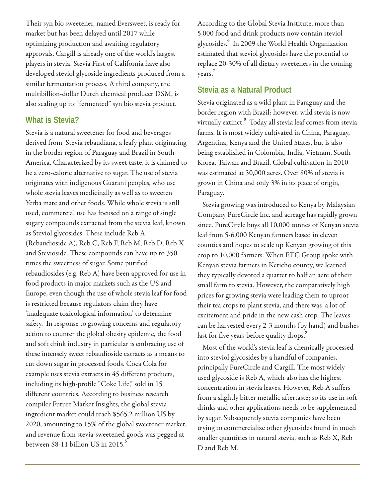Their syn bio sweetener, named Eversweet, is ready for market but has been delayed until 2017 while optimizing production and awaiting regulatory approvals. Cargill is already one of the world's largest players in stevia. Stevia First of California have also developed steviol glycoside ingredients produced from a similar fermentation process. A third company, the multibillion-dollar Dutch chemical producer DSM, is also scaling up its "fermented" syn bio stevia product.

#### **What is Stevia?**

Stevia is a natural sweetener for food and beverages derived from Stevia rebaudiana, a leafy plant originating in the border region of Paraguay and Brazil in South America. Characterized by its sweet taste, it is claimed to be a zero-calorie alternative to sugar. The use of stevia originates with indigenous Guarani peoples, who use whole stevia leaves medicinally as well as to sweeten Yerba mate and other foods. While whole stevia is still used, commercial use has focused on a range of single sugary compounds extracted from the stevia leaf, known as Steviol glycosides. These include Reb A (Rebaudioside A), Reb C, Reb F, Reb M, Reb D, Reb X and Stevioside. These compounds can have up to 350 times the sweetness of sugar. Some purified rebaudiosides (e.g. Reb A) have been approved for use in food products in major markets such as the US and Europe, even though the use of whole stevia leaf for food is restricted because regulators claim they have 'inadequate toxicological information' to determine safety. In response to growing concerns and regulatory action to counter the global obesity epidemic, the food and soft drink industry in particular is embracing use of these intensely sweet rebaudioside extracts as a means to cut down sugar in processed foods. Coca Cola for example uses stevia extracts in 45 different products, including its high-profile "Coke Life," sold in 15 different countries. According to business research compiler Future Market Insights, the global stevia ingredient market could reach \$565.2 million US by 2020, amounting to 15% of the global sweetener market, and revenue from stevia-sweetened goods was pegged at between \$8-11 billion US in 2015.**<sup>5</sup>**

According to the Global Stevia Institute, more than 5,000 food and drink products now contain steviol glycosides.**<sup>6</sup>** In 2009 the World Health Organization estimated that steviol glycosides have the potential to replace 20-30% of all dietary sweeteners in the coming years. **7**

#### **Stevia as a Natural Product**

Stevia originated as a wild plant in Paraguay and the border region with Brazil; however, wild stevia is now virtually extinct.**<sup>8</sup>** Today all stevia leaf comes from stevia farms. It is most widely cultivated in China, Paraguay, Argentina, Kenya and the United States, but is also being established in Colombia, India, Vietnam, South Korea, Taiwan and Brazil. Global cultivation in 2010 was estimated at 50,000 acres. Over 80% of stevia is grown in China and only 3% in its place of origin, Paraguay.

Stevia growing was introduced to Kenya by Malaysian Company PureCircle Inc. and acreage has rapidly grown since. PureCircle buys all 10,000 tonnes of Kenyan stevia leaf from 5-6,000 Kenyan farmers based in eleven counties and hopes to scale up Kenyan growing of this crop to 10,000 farmers. When ETC Group spoke with Kenyan stevia farmers in Kericho county, we learned they typically devoted a quarter to half an acre of their small farm to stevia. However, the comparatively high prices for growing stevia were leading them to uproot their tea crops to plant stevia, and there was a lot of excitement and pride in the new cash crop. The leaves can be harvested every 2-3 months (by hand) and bushes last for five years before quality drops.<sup>9</sup>

Most of the world's stevia leaf is chemically processed into steviol glycosides by a handful of companies, principally PureCircle and Cargill. The most widely used glycoside is Reb A, which also has the highest concentration in stevia leaves. However, Reb A suffers from a slightly bitter metallic aftertaste; so its use in soft drinks and other applications needs to be supplemented by sugar. Subsequently stevia companies have been trying to commercialize other glycosides found in much smaller quantities in natural stevia, such as Reb X, Reb D and Reb M.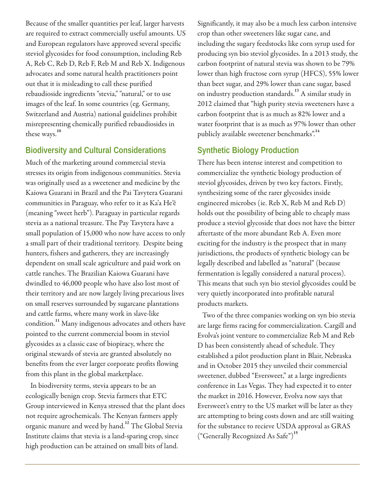Because of the smaller quantities per leaf, larger harvests are required to extract commercially useful amounts. US and European regulators have approved several specific steviol glycosides for food consumption, including Reb A, Reb C, Reb D, Reb F, Reb M and Reb X. Indigenous advocates and some natural health practitioners point out that it is misleading to call these purified rebaudioside ingredients "stevia," "natural," or to use images of the leaf. In some countries (eg. Germany, Switzerland and Austria) national guidelines prohibit misrepresenting chemically purified rebaudiosides in these ways.**<sup>10</sup>**

#### **Biodiversity and Cultural Considerations**

Much of the marketing around commercial stevia stresses its origin from indigenous communities. Stevia was originally used as a sweetener and medicine by the Kaiowa Guarani in Brazil and the Pai Tavytera Guarani communities in Paraguay, who refer to it as Ka'a He'ê (meaning "sweet herb"). Paraguay in particular regards stevia as a national treasure. The Pay Tavytera have a small population of 15,000 who now have access to only a small part of their traditional territory. Despite being hunters, fishers and gatherers, they are increasingly dependent on small scale agriculture and paid work on cattle ranches. The Brazilian Kaiowa Guarani have dwindled to 46,000 people who have also lost most of their territory and are now largely living precarious lives on small reserves surrounded by sugarcane plantations and cattle farms, where many work in slave-like condition.**<sup>11</sup>** Many indigenous advocates and others have pointed to the current commercial boom in steviol glycosides as a classic case of biopiracy, where the original stewards of stevia are granted absolutely no benefits from the ever larger corporate profits flowing from this plant in the global marketplace.

In biodiversity terms, stevia appears to be an ecologically benign crop. Stevia farmers that ETC Group interviewed in Kenya stressed that the plant does not require agrochemicals. The Kenyan farmers apply organic manure and weed by hand.**<sup>12</sup>** The Global Stevia Institute claims that stevia is a land-sparing crop, since high production can be attained on small bits of land.

Significantly, it may also be a much less carbon intensive crop than other sweeteners like sugar cane, and including the sugary feedstocks like corn syrup used for producing syn bio steviol glycosides. In a 2013 study, the carbon footprint of natural stevia was shown to be 79% lower than high fructose corn syrup (HFCS), 55% lower than beet sugar, and 29% lower than cane sugar, based on industry production standards.**<sup>13</sup>** A similar study in 2012 claimed that "high purity stevia sweeteners have a carbon footprint that is as much as 82% lower and a water footprint that is as much as 97% lower than other publicly available sweetener benchmarks".**<sup>14</sup>**

### **Synthetic Biology Production**

There has been intense interest and competition to commercialize the synthetic biology production of steviol glycosides, driven by two key factors. Firstly, synthesizing some of the rarer glycosides inside engineered microbes (ie. Reb X, Reb M and Reb D) holds out the possibility of being able to cheaply mass produce a steviol glycoside that does not have the bitter aftertaste of the more abundant Reb A. Even more exciting for the industry is the prospect that in many jurisdictions, the products of synthetic biology can be legally described and labelled as "natural" (because fermentation is legally considered a natural process). This means that such syn bio steviol glycosides could be very quietly incorporated into profitable natural products markets.

Two of the three companies working on syn bio stevia are large firms racing for commercialization. Cargill and Evolva's joint venture to commercialize Reb M and Reb D has been consistently ahead of schedule. They established a pilot production plant in Blair, Nebraska and in October 2015 they unveiled their commercial sweetener, dubbed "Eversweet," at a large ingredients conference in Las Vegas. They had expected it to enter the market in 2016. However, Evolva now says that Eversweet's entry to the US market will be later as they are attempting to bring costs down and are still waiting for the substance to recieve USDA approval as GRAS ("Generally Recognized As Safe")**<sup>15</sup>**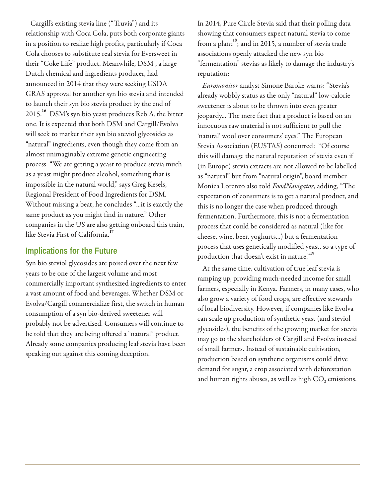Cargill's existing stevia line ("Truvia") and its relationship with Coca Cola, puts both corporate giants in a position to realize high profits, particularly if Coca Cola chooses to substitute real stevia for Eversweet in their "Coke Life" product. Meanwhile, DSM , a large Dutch chemical and ingredients producer, had announced in 2014 that they were seeking USDA GRAS approval for another syn bio stevia and intended to launch their syn bio stevia product by the end of 2015.**<sup>16</sup>** DSM's syn bio yeast produces Reb A, the bitter one. It is expected that both DSM and Cargill/Evolva will seek to market their syn bio steviol glycosides as "natural" ingredients, even though they come from an almost unimaginably extreme genetic engineering process. "We are getting a yeast to produce stevia much as a yeast might produce alcohol, something that is impossible in the natural world," says Greg Kesels, Regional President of Food Ingredients for DSM. Without missing a beat, he concludes "...it is exactly the same product as you might find in nature." Other companies in the US are also getting onboard this train, like Stevia First of California.**<sup>17</sup>**

#### **Implications for the Future**

Syn bio steviol glycosides are poised over the next few years to be one of the largest volume and most commercially important synthesized ingredients to enter a vast amount of food and beverages. Whether DSM or Evolva/Cargill commercialize first, the switch in human consumption of a syn bio-derived sweetener will probably not be advertised. Consumers will continue to be told that they are being offered a "natural" product. Already some companies producing leaf stevia have been speaking out against this coming deception.

In 2014, Pure Circle Stevia said that their polling data showing that consumers expect natural stevia to come from a plant<sup>18</sup>; and in 2015, a number of stevia trade associations openly attacked the new syn bio "fermentation" stevias as likely to damage the industry's reputation:

*Euromonitor* analyst Simone Baroke warns: "Stevia's already wobbly status as the only "natural" low-calorie sweetener is about to be thrown into even greater jeopardy... The mere fact that a product is based on an innocuous raw material is not sufficient to pull the 'natural' wool over consumers' eyes." The European Stevia Association (EUSTAS) concurred: "Of course this will damage the natural reputation of stevia even if (in Europe) stevia extracts are not allowed to be labelled as "natural" but from "natural origin", board member Monica Lorenzo also told *FoodNavigator*, adding, "The expectation of consumers is to get a natural product, and this is no longer the case when produced through fermentation. Furthermore, this is not a fermentation process that could be considered as natural (like for cheese, wine, beer, yoghurts...) but a fermentation process that uses genetically modified yeast, so a type of production that doesn't exist in nature."**<sup>19</sup>**

At the same time, cultivation of true leaf stevia is ramping up, providing much-needed income for small farmers, especially in Kenya. Farmers, in many cases, who also grow a variety of food crops, are effective stewards of local biodiversity. However, if companies like Evolva can scale up production of synthetic yeast (and steviol glycosides), the benefits of the growing market for stevia may go to the shareholders of Cargill and Evolva instead of small farmers. Instead of sustainable cultivation, production based on synthetic organisms could drive demand for sugar, a crop associated with deforestation and human rights abuses, as well as high  $CO<sub>2</sub>$  emissions.